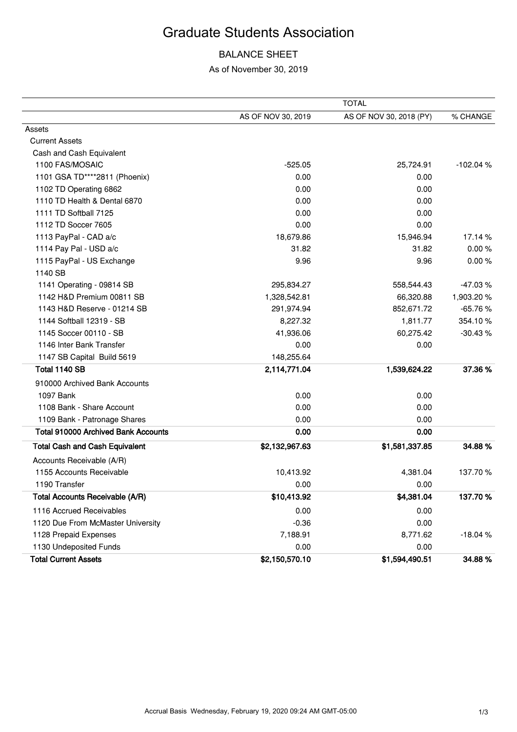## Graduate Students Association

## BALANCE SHEET

As of November 30, 2019

|                                            | <b>TOTAL</b>       |                         |            |
|--------------------------------------------|--------------------|-------------------------|------------|
|                                            | AS OF NOV 30, 2019 | AS OF NOV 30, 2018 (PY) | % CHANGE   |
| Assets                                     |                    |                         |            |
| <b>Current Assets</b>                      |                    |                         |            |
| Cash and Cash Equivalent                   |                    |                         |            |
| 1100 FAS/MOSAIC                            | $-525.05$          | 25,724.91               | $-102.04%$ |
| 1101 GSA TD****2811 (Phoenix)              | 0.00               | 0.00                    |            |
| 1102 TD Operating 6862                     | 0.00               | 0.00                    |            |
| 1110 TD Health & Dental 6870               | 0.00               | 0.00                    |            |
| 1111 TD Softball 7125                      | 0.00               | 0.00                    |            |
| 1112 TD Soccer 7605                        | 0.00               | 0.00                    |            |
| 1113 PayPal - CAD a/c                      | 18,679.86          | 15,946.94               | 17.14 %    |
| 1114 Pay Pal - USD a/c                     | 31.82              | 31.82                   | 0.00%      |
| 1115 PayPal - US Exchange                  | 9.96               | 9.96                    | 0.00%      |
| 1140 SB                                    |                    |                         |            |
| 1141 Operating - 09814 SB                  | 295,834.27         | 558,544.43              | $-47.03%$  |
| 1142 H&D Premium 00811 SB                  | 1,328,542.81       | 66,320.88               | 1,903.20%  |
| 1143 H&D Reserve - 01214 SB                | 291,974.94         | 852,671.72              | $-65.76%$  |
| 1144 Softball 12319 - SB                   | 8,227.32           | 1,811.77                | 354.10%    |
| 1145 Soccer 00110 - SB                     | 41,936.06          | 60,275.42               | $-30.43%$  |
| 1146 Inter Bank Transfer                   | 0.00               | 0.00                    |            |
| 1147 SB Capital Build 5619                 | 148,255.64         |                         |            |
| Total 1140 SB                              | 2,114,771.04       | 1,539,624.22            | 37.36%     |
| 910000 Archived Bank Accounts              |                    |                         |            |
| 1097 Bank                                  | 0.00               | 0.00                    |            |
| 1108 Bank - Share Account                  | 0.00               | 0.00                    |            |
| 1109 Bank - Patronage Shares               | 0.00               | 0.00                    |            |
| <b>Total 910000 Archived Bank Accounts</b> | 0.00               | 0.00                    |            |
| <b>Total Cash and Cash Equivalent</b>      | \$2,132,967.63     | \$1,581,337.85          | 34.88%     |
| Accounts Receivable (A/R)                  |                    |                         |            |
| 1155 Accounts Receivable                   | 10,413.92          | 4,381.04                | 137.70 %   |
| 1190 Transfer                              | 0.00               | 0.00                    |            |
| <b>Total Accounts Receivable (A/R)</b>     | \$10,413.92        | \$4,381.04              | 137.70%    |
| 1116 Accrued Receivables                   | 0.00               | 0.00                    |            |
| 1120 Due From McMaster University          | $-0.36$            | 0.00                    |            |
| 1128 Prepaid Expenses                      | 7,188.91           | 8,771.62                | $-18.04%$  |
| 1130 Undeposited Funds                     | 0.00               | 0.00                    |            |
| <b>Total Current Assets</b>                | \$2,150,570.10     | \$1,594,490.51          | 34.88%     |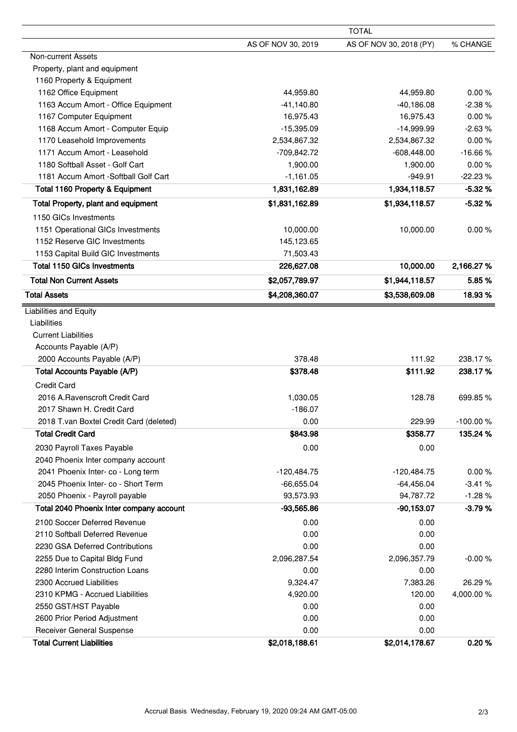|                                              |                    | <b>TOTAL</b>            |            |  |  |
|----------------------------------------------|--------------------|-------------------------|------------|--|--|
|                                              | AS OF NOV 30, 2019 | AS OF NOV 30, 2018 (PY) | % CHANGE   |  |  |
| Non-current Assets                           |                    |                         |            |  |  |
| Property, plant and equipment                |                    |                         |            |  |  |
| 1160 Property & Equipment                    |                    |                         |            |  |  |
| 1162 Office Equipment                        | 44,959.80          | 44,959.80               | 0.00%      |  |  |
| 1163 Accum Amort - Office Equipment          | $-41,140.80$       | $-40,186.08$            | $-2.38%$   |  |  |
| 1167 Computer Equipment                      | 16,975.43          | 16,975.43               | 0.00%      |  |  |
| 1168 Accum Amort - Computer Equip            | $-15,395.09$       | $-14,999.99$            | $-2.63%$   |  |  |
| 1170 Leasehold Improvements                  | 2,534,867.32       | 2,534,867.32            | 0.00%      |  |  |
| 1171 Accum Amort - Leasehold                 | -709,842.72        | $-608,448.00$           | $-16.66%$  |  |  |
| 1180 Softball Asset - Golf Cart              | 1,900.00           | 1,900.00                | 0.00%      |  |  |
| 1181 Accum Amort - Softball Golf Cart        | $-1,161.05$        | $-949.91$               | $-22.23%$  |  |  |
| <b>Total 1160 Property &amp; Equipment</b>   | 1,831,162.89       | 1,934,118.57            | $-5.32%$   |  |  |
| Total Property, plant and equipment          | \$1,831,162.89     | \$1,934,118.57          | $-5.32%$   |  |  |
| 1150 GICs Investments                        |                    |                         |            |  |  |
| 1151 Operational GICs Investments            | 10,000.00          | 10,000.00               | 0.00%      |  |  |
| 1152 Reserve GIC Investments                 | 145,123.65         |                         |            |  |  |
| 1153 Capital Build GIC Investments           | 71,503.43          |                         |            |  |  |
| <b>Total 1150 GICs Investments</b>           | 226,627.08         | 10,000.00               | 2,166.27%  |  |  |
| <b>Total Non Current Assets</b>              | \$2,057,789.97     | \$1,944,118.57          | 5.85%      |  |  |
| <b>Total Assets</b>                          | \$4,208,360.07     | \$3,538,609.08          | 18.93%     |  |  |
|                                              |                    |                         |            |  |  |
| <b>Liabilities and Equity</b><br>Liabilities |                    |                         |            |  |  |
|                                              |                    |                         |            |  |  |
| <b>Current Liabilities</b>                   |                    |                         |            |  |  |
| Accounts Payable (A/P)                       |                    |                         | 238.17%    |  |  |
| 2000 Accounts Payable (A/P)                  | 378.48             | 111.92                  |            |  |  |
| Total Accounts Payable (A/P)                 | \$378.48           | \$111.92                | 238.17%    |  |  |
| <b>Credit Card</b>                           |                    |                         |            |  |  |
| 2016 A.Ravenscroft Credit Card               | 1,030.05           | 128.78                  | 699.85%    |  |  |
| 2017 Shawn H. Credit Card                    | $-186.07$          |                         |            |  |  |
| 2018 T.van Boxtel Credit Card (deleted)      | 0.00               | 229.99                  | -100.00%   |  |  |
| <b>Total Credit Card</b>                     | \$843.98           | \$358.77                | 135.24 %   |  |  |
| 2030 Payroll Taxes Payable                   | 0.00               | 0.00                    |            |  |  |
| 2040 Phoenix Inter company account           |                    |                         |            |  |  |
| 2041 Phoenix Inter- co - Long term           | $-120,484.75$      | $-120,484.75$           | 0.00%      |  |  |
| 2045 Phoenix Inter- co - Short Term          | $-66,655.04$       | $-64,456.04$            | $-3.41%$   |  |  |
| 2050 Phoenix - Payroll payable               | 93,573.93          | 94,787.72               | $-1.28%$   |  |  |
| Total 2040 Phoenix Inter company account     | $-93,565.86$       | $-90,153.07$            | $-3.79%$   |  |  |
| 2100 Soccer Deferred Revenue                 | 0.00               | 0.00                    |            |  |  |
| 2110 Softball Deferred Revenue               | 0.00               | 0.00                    |            |  |  |
| 2230 GSA Deferred Contributions              | 0.00               | 0.00                    |            |  |  |
| 2255 Due to Capital Bldg Fund                | 2,096,287.54       | 2,096,357.79            | $-0.00%$   |  |  |
| 2280 Interim Construction Loans              | 0.00               | 0.00                    |            |  |  |
| 2300 Accrued Liabilities                     | 9,324.47           | 7,383.26                | 26.29 %    |  |  |
| 2310 KPMG - Accrued Liabilities              | 4,920.00           | 120.00                  | 4,000.00 % |  |  |
| 2550 GST/HST Payable                         | 0.00               | 0.00                    |            |  |  |
| 2600 Prior Period Adjustment                 | 0.00               | 0.00                    |            |  |  |
| Receiver General Suspense                    | 0.00               | 0.00                    |            |  |  |
| <b>Total Current Liabilities</b>             | \$2,018,188.61     | \$2,014,178.67          | 0.20%      |  |  |